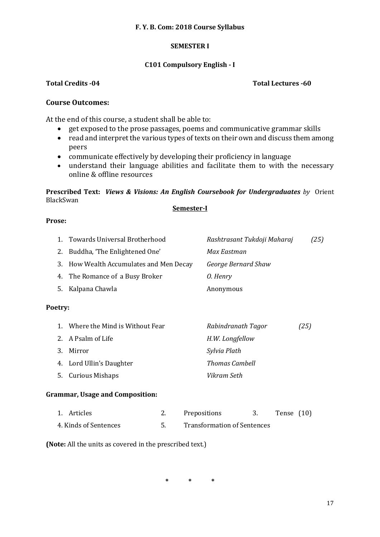## **F. Y. B. Com: 2018 Course Syllabus**

# **SEMESTER I**

# **C101 Compulsory English - I**

# **Total Credits -04 Total Lectures -60**

# **Course Outcomes:**

At the end of this course, a student shall be able to:

- get exposed to the prose passages, poems and communicative grammar skills
- read and interpret the various types of texts on their own and discuss them among peers
- communicate effectively by developing their proficiency in language
- understand their language abilities and facilitate them to with the necessary online & offline resources

**Prescribed Text:** *Views & Visions: An English Coursebook for Undergraduates by* Orient BlackSwan

### **Semester-I**

# **Prose:**

|         | 1. Towards Universal Brotherhood        | Rashtrasant Tukdoji Maharaj | (25) |
|---------|-----------------------------------------|-----------------------------|------|
| 2.      | Buddha, 'The Enlightened One'           | Max Eastman                 |      |
|         | 3. How Wealth Accumulates and Men Decay | George Bernard Shaw         |      |
|         | 4. The Romance of a Busy Broker         | 0. Henry                    |      |
| 5.      | Kalpana Chawla                          | Anonymous                   |      |
| Poetry: |                                         |                             |      |
| $1_{-}$ | Where the Mind is Without Fear          | Rabindranath Tagor          | (25) |
| 2.      | A Psalm of Life                         | H.W. Longfellow             |      |
| 3.      | Mirror                                  | Sylvia Plath                |      |
|         | 4. Lord Ullin's Daughter                | Thomas Cambell              |      |
| 5.      | <b>Curious Mishaps</b>                  | Vikram Seth                 |      |
|         |                                         |                             |      |

# **Grammar, Usage and Composition:**

| 1. Articles           | Prepositions                       | Tense $(10)$ |  |
|-----------------------|------------------------------------|--------------|--|
| 4. Kinds of Sentences | <b>Transformation of Sentences</b> |              |  |

**(Note:** All the units as covered in the prescribed text.)

**\* \* \***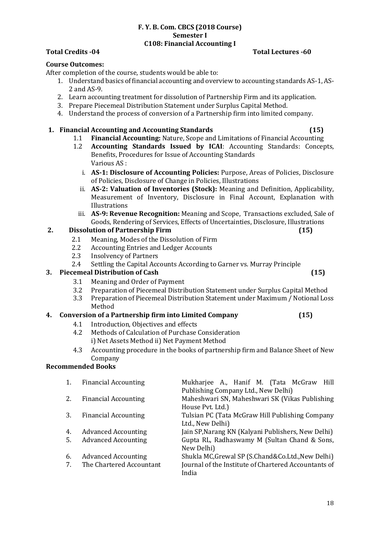# **F. Y. B. Com. CBCS (2018 Course) Semester I C108: Financial Accounting I**

# **Total Credits -04 Total Lectures -60**

### **Course Outcomes:**

After completion of the course, students would be able to:

- 1. Understand basics of financial accounting and overview to accounting standards AS-1, AS-2 and AS-9.
- 2. Learn accounting treatment for dissolution of Partnership Firm and its application.
- 3. Prepare Piecemeal Distribution Statement under Surplus Capital Method.
- 4. Understand the process of conversion of a Partnership firm into limited company.

### **1. Financial Accounting and Accounting Standards (15)**

- 1.1 **Financial Accounting:** Nature, Scope and Limitations of Financial Accounting
- 1.2 **Accounting Standards Issued by ICAI**: Accounting Standards: Concepts, Benefits, Procedures for Issue of Accounting Standards Various AS :
	- i. **AS-1: Disclosure of Accounting Policies:** Purpose, Areas of Policies, Disclosure of Policies, Disclosure of Change in Policies, Illustrations
	- ii. **AS-2: Valuation of Inventories (Stock):** Meaning and Definition, Applicability, Measurement of Inventory, Disclosure in Final Account, Explanation with Illustrations
	- iii. **AS-9: Revenue Recognition:** Meaning and Scope, Transactions excluded, Sale of Goods, Rendering of Services, Effects of Uncertainties, Disclosure, Illustrations

# **2. Dissolution of Partnership Firm (15)**

- 2.1 Meaning, Modes of the Dissolution of Firm
- 2.2 Accounting Entries and Ledger Accounts
- 2.3 Insolvency of Partners
- 2.4 Settling the Capital Accounts According to Garner vs. Murray Principle

# **3. Piecemeal Distribution of Cash (15)**

- 3.1 Meaning and Order of Payment
- 3.2 Preparation of Piecemeal Distribution Statement under Surplus Capital Method
- 3.3 Preparation of Piecemeal Distribution Statement under Maximum / Notional Loss Method

#### **4. Conversion of a Partnership firm into Limited Company (15)**

- 4.1 Introduction, Objectives and effects
- 4.2 Methods of Calculation of Purchase Consideration i) Net Assets Method ii) Net Payment Method
- 4.3 Accounting procedure in the books of partnership firm and Balance Sheet of New Company

# **Recommended Books**

| 1. | <b>Financial Accounting</b> | Mukharjee A., Hanif M. (Tata McGraw Hill<br>Publishing Company Ltd., New Delhi) |
|----|-----------------------------|---------------------------------------------------------------------------------|
| 2. | <b>Financial Accounting</b> | Maheshwari SN, Maheshwari SK (Vikas Publishing<br>House Pvt. Ltd.)              |
| 3. | <b>Financial Accounting</b> | Tulsian PC (Tata McGraw Hill Publishing Company<br>Ltd., New Delhi)             |
| 4. | <b>Advanced Accounting</b>  | Jain SP, Narang KN (Kalyani Publishers, New Delhi)                              |
| 5. | <b>Advanced Accounting</b>  | Gupta RL, Radhaswamy M (Sultan Chand & Sons,<br>New Delhi)                      |
| 6. | <b>Advanced Accounting</b>  | Shukla MC, Grewal SP (S. Chand & Co. Ltd., New Delhi)                           |
| 7. | The Chartered Accountant    | Journal of the Institute of Chartered Accountants of<br>India                   |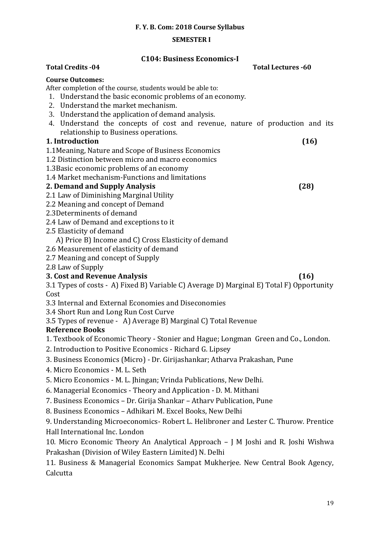# **F. Y. B. Com: 2018 Course Syllabus**

# **SEMESTER I**

# **C104: Business Economics-I**

| <b>Total Credits -04</b><br><b>Total Lectures -60</b>                                                                                                                                                                                                                                                                         |      |
|-------------------------------------------------------------------------------------------------------------------------------------------------------------------------------------------------------------------------------------------------------------------------------------------------------------------------------|------|
| <b>Course Outcomes:</b><br>After completion of the course, students would be able to:<br>1. Understand the basic economic problems of an economy.<br>2. Understand the market mechanism.<br>3. Understand the application of demand analysis.<br>4. Understand the concepts of cost and revenue, nature of production and its |      |
| relationship to Business operations.                                                                                                                                                                                                                                                                                          |      |
| 1. Introduction                                                                                                                                                                                                                                                                                                               | (16) |
| 1.1 Meaning, Nature and Scope of Business Economics<br>1.2 Distinction between micro and macro economics<br>1.3 Basic economic problems of an economy<br>1.4 Market mechanism-Functions and limitations                                                                                                                       |      |
| 2. Demand and Supply Analysis                                                                                                                                                                                                                                                                                                 | (28) |
| 2.1 Law of Diminishing Marginal Utility<br>2.2 Meaning and concept of Demand<br>2.3Determinents of demand                                                                                                                                                                                                                     |      |
| 2.4 Law of Demand and exceptions to it                                                                                                                                                                                                                                                                                        |      |
| 2.5 Elasticity of demand<br>A) Price B) Income and C) Cross Elasticity of demand                                                                                                                                                                                                                                              |      |
| 2.6 Measurement of elasticity of demand                                                                                                                                                                                                                                                                                       |      |
| 2.7 Meaning and concept of Supply                                                                                                                                                                                                                                                                                             |      |
| 2.8 Law of Supply                                                                                                                                                                                                                                                                                                             |      |
| 3. Cost and Revenue Analysis                                                                                                                                                                                                                                                                                                  | (16) |
| 3.1 Types of costs - A) Fixed B) Variable C) Average D) Marginal E) Total F) Opportunity<br>Cost                                                                                                                                                                                                                              |      |
| 3.3 Internal and External Economies and Diseconomies                                                                                                                                                                                                                                                                          |      |
| 3.4 Short Run and Long Run Cost Curve                                                                                                                                                                                                                                                                                         |      |
| 3.5 Types of revenue - A) Average B) Marginal C) Total Revenue                                                                                                                                                                                                                                                                |      |
| <b>Reference Books</b>                                                                                                                                                                                                                                                                                                        |      |
| 1. Textbook of Economic Theory - Stonier and Hague; Longman Green and Co., London.                                                                                                                                                                                                                                            |      |
| 2. Introduction to Positive Economics - Richard G. Lipsey                                                                                                                                                                                                                                                                     |      |
| 3. Business Economics (Micro) - Dr. Girijashankar; Atharva Prakashan, Pune                                                                                                                                                                                                                                                    |      |
| 4. Micro Economics - M. L. Seth                                                                                                                                                                                                                                                                                               |      |
| 5. Micro Economics - M. L. Jhingan; Vrinda Publications, New Delhi.                                                                                                                                                                                                                                                           |      |
| 6. Managerial Economics - Theory and Application - D. M. Mithani                                                                                                                                                                                                                                                              |      |
| 7. Business Economics - Dr. Girija Shankar - Athary Publication, Pune                                                                                                                                                                                                                                                         |      |
| 8. Business Economics - Adhikari M. Excel Books, New Delhi                                                                                                                                                                                                                                                                    |      |
| 9. Understanding Microeconomics-Robert L. Helibroner and Lester C. Thurow. Prentice                                                                                                                                                                                                                                           |      |
| Hall International Inc. London                                                                                                                                                                                                                                                                                                |      |
| 10. Micro Economic Theory An Analytical Approach - J M Joshi and R. Joshi Wishwa<br>Prakashan (Division of Wiley Eastern Limited) N. Delhi                                                                                                                                                                                    |      |
| 11 Ducinese & Monogonial Economics Compat Multhonics Nous Control Bools Agonay                                                                                                                                                                                                                                                |      |

11. Business & Managerial Economics Sampat Mukherjee. New Central Book Agency, Calcutta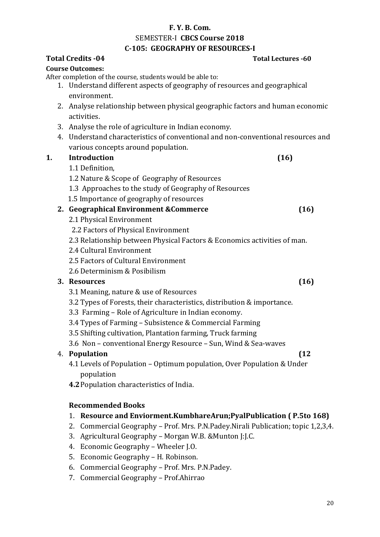# **F. Y. B. Com.**

SEMESTER-I **CBCS Course 2018**

# **C-105: GEOGRAPHY OF RESOURCES-I**

|    | <b>Total Credits -04</b>                                                             | <b>Total Lectures -60</b> |
|----|--------------------------------------------------------------------------------------|---------------------------|
|    | <b>Course Outcomes:</b>                                                              |                           |
|    | After completion of the course, students would be able to:                           |                           |
|    | 1. Understand different aspects of geography of resources and geographical           |                           |
|    | environment.                                                                         |                           |
|    | 2. Analyse relationship between physical geographic factors and human economic       |                           |
|    | activities.                                                                          |                           |
|    | 3. Analyse the role of agriculture in Indian economy.                                |                           |
|    | 4. Understand characteristics of conventional and non-conventional resources and     |                           |
|    | various concepts around population.                                                  |                           |
| 1. | <b>Introduction</b>                                                                  | (16)                      |
|    | 1.1 Definition,                                                                      |                           |
|    | 1.2 Nature & Scope of Geography of Resources                                         |                           |
|    | 1.3 Approaches to the study of Geography of Resources                                |                           |
|    | 1.5 Importance of geography of resources                                             |                           |
|    | 2. Geographical Environment & Commerce                                               | (16)                      |
|    | 2.1 Physical Environment                                                             |                           |
|    | 2.2 Factors of Physical Environment                                                  |                           |
|    | 2.3 Relationship between Physical Factors & Economics activities of man.             |                           |
|    | 2.4 Cultural Environment                                                             |                           |
|    | 2.5 Factors of Cultural Environment                                                  |                           |
|    | 2.6 Determinism & Posibilism                                                         |                           |
|    | 3. Resources                                                                         | (16)                      |
|    | 3.1 Meaning, nature & use of Resources                                               |                           |
|    | 3.2 Types of Forests, their characteristics, distribution & importance.              |                           |
|    | 3.3 Farming - Role of Agriculture in Indian economy.                                 |                           |
|    | 3.4 Types of Farming - Subsistence & Commercial Farming                              |                           |
|    | 3.5 Shifting cultivation, Plantation farming, Truck farming                          |                           |
|    | 3.6 Non - conventional Energy Resource - Sun, Wind & Sea-waves                       |                           |
| 4. | Population                                                                           | (12)                      |
|    | 4.1 Levels of Population - Optimum population, Over Population & Under               |                           |
|    | population                                                                           |                           |
|    | 4.2 Population characteristics of India.                                             |                           |
|    | <b>Recommended Books</b>                                                             |                           |
|    | Resource and Enviorment.KumbhareArun;PyalPublication (P.5to 168)<br>1.               |                           |
|    | Commercial Geography - Prof. Mrs. P.N.Padey.Nirali Publication; topic 1,2,3,4.<br>2. |                           |
|    | Agricultural Geography - Morgan W.B. & Munton J:J.C.<br>3.                           |                           |
|    | Economic Geography - Wheeler J.O.<br>4.                                              |                           |
|    | Economic Geography - H. Robinson.<br>5.                                              |                           |

- 6. Commercial Geography Prof. Mrs. P.N.Padey.
- 7. Commercial Geography Prof.Ahirrao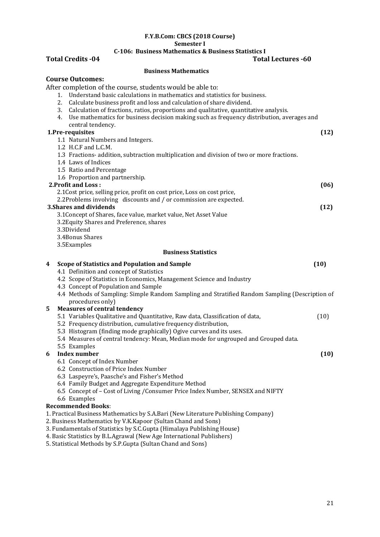#### **F.Y.B.Com: CBCS (2018 Course) Semester I**

# **C-106: Business Mathematics & Business Statistics I**

|   | <b>Total Credits -04</b><br><b>Total Lectures -60</b>                                           |      |
|---|-------------------------------------------------------------------------------------------------|------|
|   | <b>Business Mathematics</b>                                                                     |      |
|   | <b>Course Outcomes:</b>                                                                         |      |
|   | After completion of the course, students would be able to:                                      |      |
|   | Understand basic calculations in mathematics and statistics for business.<br>1.                 |      |
|   | Calculate business profit and loss and calculation of share dividend.<br>2.                     |      |
|   | Calculation of fractions, ratios, proportions and qualitative, quantitative analysis.<br>3.     |      |
|   | Use mathematics for business decision making such as frequency distribution, averages and<br>4. |      |
|   | central tendency.                                                                               |      |
|   | 1.Pre-requisites                                                                                | (12) |
|   | 1.1 Natural Numbers and Integers.                                                               |      |
|   | 1.2 H.C.F and L.C.M.                                                                            |      |
|   | 1.3 Fractions- addition, subtraction multiplication and division of two or more fractions.      |      |
|   | 1.4 Laws of Indices                                                                             |      |
|   | 1.5 Ratio and Percentage                                                                        |      |
|   | 1.6 Proportion and partnership.                                                                 |      |
|   | 2. Profit and Loss:                                                                             | (06) |
|   | 2.1 Cost price, selling price, profit on cost price, Loss on cost price,                        |      |
|   | 2.2Problems involving discounts and / or commission are expected.                               |      |
|   | <b>3. Shares and dividends</b>                                                                  | (12) |
|   | 3.1 Concept of Shares, face value, market value, Net Asset Value                                |      |
|   | 3.2 Equity Shares and Preference, shares                                                        |      |
|   | 3.3Dividend                                                                                     |      |
|   | 3.4Bonus Shares                                                                                 |      |
|   | 3.5Examples                                                                                     |      |
|   | <b>Business Statistics</b>                                                                      |      |
| 4 | <b>Scope of Statistics and Population and Sample</b>                                            | (10) |
|   | 4.1 Definition and concept of Statistics                                                        |      |
|   | 4.2 Scope of Statistics in Economics, Management Science and Industry                           |      |
|   | 4.3 Concept of Population and Sample                                                            |      |
|   | 4.4 Methods of Sampling: Simple Random Sampling and Stratified Random Sampling (Description of  |      |
|   | procedures only)                                                                                |      |
| 5 | <b>Measures of central tendency</b>                                                             |      |
|   | 5.1 Variables Qualitative and Quantitative, Raw data, Classification of data,                   | (10) |
|   | 5.2 Frequency distribution, cumulative frequency distribution,                                  |      |
|   | 5.3 Histogram (finding mode graphically) Ogive curves and its uses.                             |      |
|   | 5.4 Measures of central tendency: Mean, Median mode for ungrouped and Grouped data.             |      |
|   | 5.5 Examples                                                                                    |      |
| 6 | <b>Index number</b>                                                                             | (10) |
|   | 6.1 Concept of Index Number                                                                     |      |
|   | 6.2 Construction of Price Index Number                                                          |      |
|   | 6.3 Laspeyre's, Paasche's and Fisher's Method                                                   |      |
|   | 6.4 Family Budget and Aggregate Expenditure Method                                              |      |
|   | 6.5 Concept of - Cost of Living / Consumer Price Index Number, SENSEX and NIFTY                 |      |
|   | 6.6 Examples                                                                                    |      |
|   | <b>Recommended Books:</b>                                                                       |      |
|   | 1. Practical Business Mathematics by S.A.Bari (New Literature Publishing Company)               |      |
|   | 2. Business Mathematics by V.K.Kapoor (Sultan Chand and Sons)                                   |      |
|   | 3. Fundamentals of Statistics by S.C. Gupta (Himalaya Publishing House)                         |      |
|   | 4. Basic Statistics by B.L.Agrawal (New Age International Publishers)                           |      |

5. Statistical Methods by S.P.Gupta (Sultan Chand and Sons)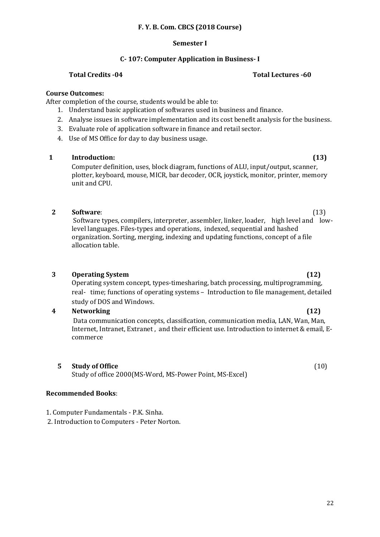# **F. Y. B. Com. CBCS (2018 Course)**

#### **Semester I**

# **C- 107: Computer Application in Business- I**

# **Total Credits -04 Total Lectures -60**

# **Course Outcomes:**

After completion of the course, students would be able to:

- 1. Understand basic application of softwares used in business and finance.
- 2. Analyse issues in software implementation and its cost benefit analysis for the business.
- 3. Evaluate role of application software in finance and retail sector.
- 4. Use of MS Office for day to day business usage.

# **1 Introduction: (13)**

Computer definition, uses, block diagram, functions of ALU, input/output, scanner, plotter, keyboard, mouse, MICR, bar decoder, OCR, joystick, monitor, printer, memory unit and CPU.

### **2 Software**: (13)

Software types, compilers, interpreter, assembler, linker, loader, high level and lowlevel languages. Files-types and operations, indexed, sequential and hashed organization. Sorting, merging, indexing and updating functions, concept of a file allocation table.

# **3 Operating System (12)**

Operating system concept, types-timesharing, batch processing, multiprogramming, real- time; functions of operating systems – Introduction to file management, detailed study of DOS and Windows.

# **4 Networking (12)**

Data communication concepts, classification, communication media, LAN, Wan, Man, Internet, Intranet, Extranet , and their efficient use. Introduction to internet & email, Ecommerce

**5 Study of Office** (10)

Study of office 2000(MS-Word, MS-Power Point, MS-Excel)

#### **Recommended Books**:

1. Computer Fundamentals - P.K. Sinha.

2. Introduction to Computers - Peter Norton.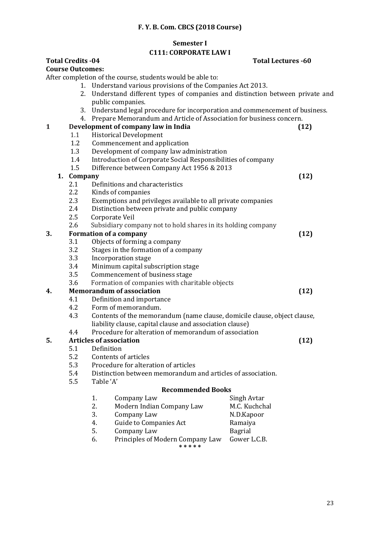## **F. Y. B. Com. CBCS (2018 Course)**

#### **Semester I**

### **C111: CORPORATE LAW I**

# **Total Credits -04 Total Lectures -60**

### **Course Outcomes:**

After completion of the course, students would be able to:

- 1. Understand various provisions of the Companies Act 2013.
- 2. Understand different types of companies and distinction between private and public companies.
- 3. Understand legal procedure for incorporation and commencement of business.
- 4. Prepare Memorandum and Article of Association for business concern.

# **1 Development of company law in India (12)**

- 1.1 Historical Development
- 1.2 Commencement and application
- 1.3 Development of company law administration
- 1.4 Introduction of Corporate Social Responsibilities of company
- 1.5 Difference between Company Act 1956 & 2013

### **1. Company (12)**

- 2.1 Definitions and characteristics
- 2.2 Kinds of companies
- 2.3 Exemptions and privileges available to all private companies
- 2.4 Distinction between private and public company
- 2.5 Corporate Veil
- 2.6 Subsidiary company not to hold shares in its holding company

# **3. Formation of a company (12)**

- 3.1 Objects of forming a company
- 3.2 Stages in the formation of a company
- 3.3 Incorporation stage
- 3.4 Minimum capital subscription stage
- 3.5 Commencement of business stage
- 3.6 Formation of companies with charitable objects

# **4. Memorandum of association (12)**

- 4.1 Definition and importance
- 4.2 Form of memorandum.
- 4.3 Contents of the memorandum (name clause, domicile clause, object clause, liability clause, capital clause and association clause)

# 4.4 Procedure for alteration of memorandum of association

#### **5. Articles of association (12)**

- 5.1 Definition
- 5.2 Contents of articles
- 5.3 Procedure for alteration of articles
- 5.4 Distinction between memorandum and articles of association.
- 5.5 Table 'A'

#### **Recommended Books**

1. Company Law Singh Avtar 2. Modern Indian Company Law M.C. Kuchchal 3. Company Law N.D.Kapoor 4. Guide to Companies Act Ramaiya 5. Company Law Bagrial 6. Principles of Modern Company Law Gower L.C.B. **\* \* \* \* \***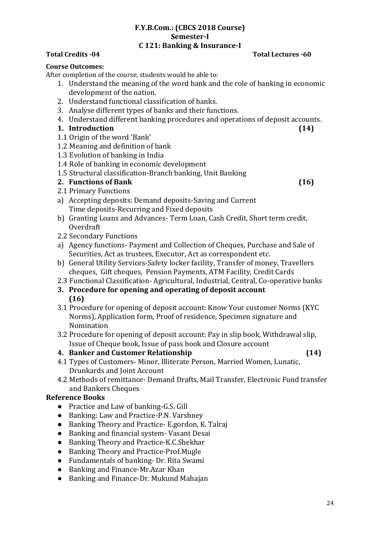# **F.Y.B.Com.: (CBCS 2018 Course) Semester-I C 121: Banking & Insurance-I**

# **Total Credits -04 Total Lectures -60**

# **Course Outcomes:**

After completion of the course, students would be able to:

- 1. Understand the meaning of the word bank and the role of banking in economic development of the nation.
- 2. Understand functional classification of banks.
- 3. Analyse different types of banks and their functions.
- 4. Understand different banking procedures and operations of deposit accounts.

# **1. Introduction (14)**

- 1.1 Origin of the word 'Bank'
- 1.2 Meaning and definition of bank
- 1.3 Evolution of banking in India
- 1.4 Role of banking in economic development
- 1.5 Structural classification-Branch banking, Unit Banking

# **2. Functions of Bank (16)**

- 2.1 Primary Functions
- a) Accepting deposits: Demand deposits-Saving and Current Time deposits-Recurring and Fixed deposits
- b) Granting Loans and Advances- Term Loan, Cash Credit, Short term credit, Overdraft
- 2.2 Secondary Functions
- a) Agency functions- Payment and Collection of Cheques, Purchase and Sale of Securities, Act as trustees, Executor, Act as correspondent etc.
- b) General Utility Services-Safety locker facility, Transfer of money, Travellers cheques, Gift cheques, Pension Payments, ATM Facility, Credit Cards
- 2.3 Functional Classification- Agricultural, Industrial, Central, Co-operative banks
- **3. Procedure for opening and operating of deposit account (16)**
- 3.1 Procedure for opening of deposit account: Know Your customer Norms (KYC Norms), Application form, Proof of residence, Specimen signature and Nomination
- 3.2 Procedure for opening of deposit account: Pay in slip book, Withdrawal slip, Issue of Cheque book, Issue of pass book and Closure account

# **4. Banker and Customer Relationship (14)**

- 4.1 Types of Customers- Minor, Illiterate Person, Married Women, Lunatic, Drunkards and Joint Account
- 4.2 Methods of remittance- Demand Drafts, Mail Transfer, Electronic Fund transfer and Bankers Cheques

# **Reference Books**

- Practice and Law of banking-G.S. Gill
- Banking: Law and Practice-P.N. Varshney
- Banking Theory and Practice- E.gordon, K. Talraj
- Banking and financial system- Vasant Desai
- Banking Theory and Practice-K.C.Shekhar
- Banking Theory and Practice-Prof.Mugle
- Fundamentals of banking- Dr. Rita Swami
- Banking and Finance-Mr.Azar Khan
- Banking and Finance-Dr. Mukund Mahajan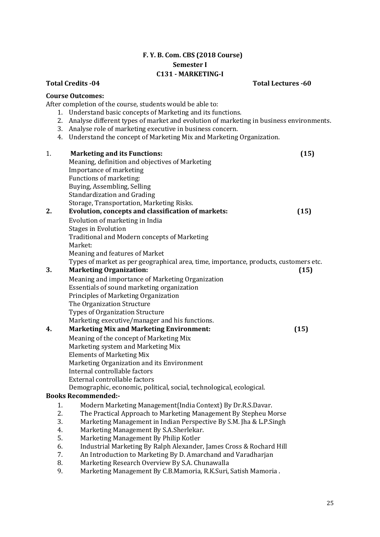# **F. Y. B. Com. CBS (2018 Course) Semester I C131 - MARKETING-I**

#### **Total Credits -04 Total Lectures -60**

#### **Course Outcomes:**

After completion of the course, students would be able to:

- 1. Understand basic concepts of Marketing and its functions.
- 2. Analyse different types of market and evolution of marketing in business environments.
- 3. Analyse role of marketing executive in business concern.
- 4. Understand the concept of Marketing Mix and Marketing Organization.

# 1. **Marketing and its Functions: (15)**  Meaning, definition and objectives of Marketing Importance of marketing Functions of marketing: Buying, Assembling, Selling Standardization and Grading Storage, Transportation, Marketing Risks. **2. Evolution, concepts and classification of markets: (15)**  Evolution of marketing in India Stages in Evolution Traditional and Modern concepts of Marketing Market: Meaning and features of Market Types of market as per geographical area, time, importance, products, customers etc. **3. Marketing Organization: (15)**  Meaning and importance of Marketing Organization Essentials of sound marketing organization Principles of Marketing Organization The Organization Structure Types of Organization Structure Marketing executive/manager and his functions. **4. Marketing Mix and Marketing Environment: (15)** Meaning of the concept of Marketing Mix Marketing system and Marketing Mix Elements of Marketing Mix Marketing Organization and its Environment Internal controllable factors External controllable factors Demographic, economic, political, social, technological, ecological. **Books Recommended:-**  1. Modern Marketing Management(India Context) By Dr.R.S.Davar. 2. The Practical Approach to Marketing Management By Stepheu Morse 3. Marketing Management in Indian Perspective By S.M. Jha & L.P.Singh 4. Marketing Management By S.A.Sherlekar. 5. Marketing Management By Philip Kotler

- 6. Industrial Marketing By Ralph Alexander, James Cross & Rochard Hill
- 7. An Introduction to Marketing By D. Amarchand and Varadharjan
- 8. Marketing Research Overview By S.A. Chunawalla
- 9. Marketing Management By C.B.Mamoria, R.K.Suri, Satish Mamoria .